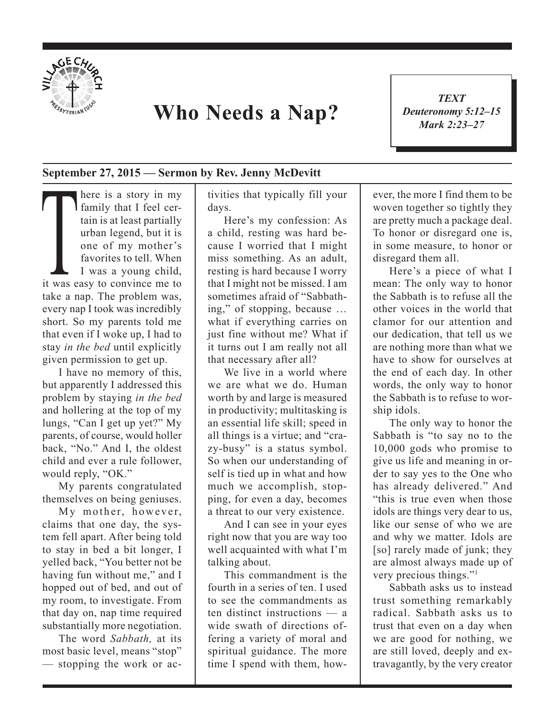

## **Who Needs a Nap?**

*TEXT Deuteronomy 5:12–15 Mark 2:23–27*

1

## **September 27, 2015 — Sermon by Rev. Jenny McDevitt**

There is a story in my<br>
family that I feel cer-<br>
tain is at least partially<br>
urban legend, but it is<br>
one of my mother's<br>
favorites to tell. When<br>
I was a young child,<br>
it was easy to convince me to family that I feel certain is at least partially urban legend, but it is one of my mother's favorites to tell. When I was a young child, take a nap. The problem was, every nap I took was incredibly short. So my parents told me that even if I woke up, I had to stay *in the bed* until explicitly given permission to get up.

I have no memory of this, but apparently I addressed this problem by staying *in the bed* and hollering at the top of my lungs, "Can I get up yet?" My parents, of course, would holler back, "No." And I, the oldest child and ever a rule follower, would reply, "OK."

My parents congratulated themselves on being geniuses.

My mother, however, claims that one day, the system fell apart. After being told to stay in bed a bit longer, I yelled back, "You better not be having fun without me," and I hopped out of bed, and out of my room, to investigate. From that day on, nap time required substantially more negotiation.

The word *Sabbath,* at its most basic level, means "stop" — stopping the work or activities that typically fill your days.

Here's my confession: As a child, resting was hard because I worried that I might miss something. As an adult, resting is hard because I worry that I might not be missed. I am sometimes afraid of "Sabbathing," of stopping, because … what if everything carries on just fine without me? What if it turns out I am really not all that necessary after all?

We live in a world where we are what we do. Human worth by and large is measured in productivity; multitasking is an essential life skill; speed in all things is a virtue; and "crazy-busy" is a status symbol. So when our understanding of self is tied up in what and how much we accomplish, stopping, for even a day, becomes a threat to our very existence.

And I can see in your eyes right now that you are way too well acquainted with what I'm talking about.

This commandment is the fourth in a series of ten. I used to see the commandments as ten distinct instructions — a wide swath of directions offering a variety of moral and spiritual guidance. The more time I spend with them, however, the more I find them to be woven together so tightly they are pretty much a package deal. To honor or disregard one is, in some measure, to honor or disregard them all.

Here's a piece of what I mean: The only way to honor the Sabbath is to refuse all the other voices in the world that clamor for our attention and our dedication, that tell us we are nothing more than what we have to show for ourselves at the end of each day. In other words, the only way to honor the Sabbath is to refuse to worship idols.

The only way to honor the Sabbath is "to say no to the 10,000 gods who promise to give us life and meaning in order to say yes to the One who has already delivered." And "this is true even when those idols are things very dear to us, like our sense of who we are and why we matter. Idols are [so] rarely made of junk; they are almost always made up of very precious things."1

Sabbath asks us to instead trust something remarkably radical. Sabbath asks us to trust that even on a day when we are good for nothing, we are still loved, deeply and extravagantly, by the very creator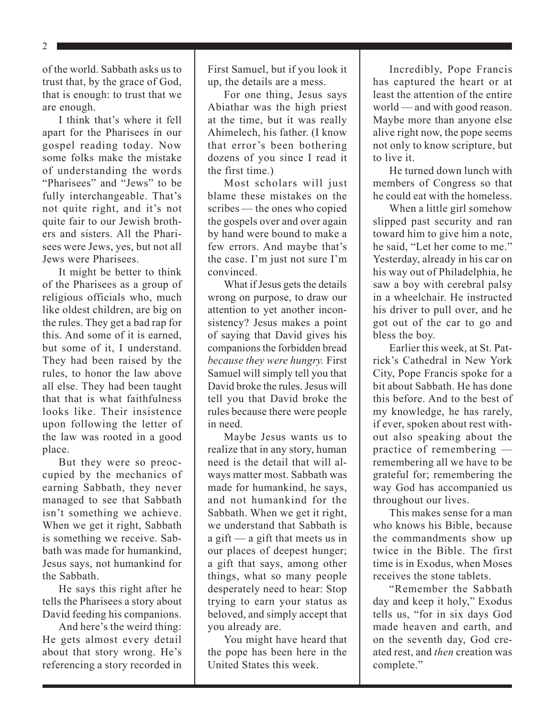2

of the world. Sabbath asks us to trust that, by the grace of God, that is enough: to trust that we are enough.

I think that's where it fell apart for the Pharisees in our gospel reading today. Now some folks make the mistake of understanding the words "Pharisees" and "Jews" to be fully interchangeable. That's not quite right, and it's not quite fair to our Jewish brothers and sisters. All the Pharisees were Jews, yes, but not all Jews were Pharisees.

It might be better to think of the Pharisees as a group of religious officials who, much like oldest children, are big on the rules. They get a bad rap for this. And some of it is earned, but some of it, I understand. They had been raised by the rules, to honor the law above all else. They had been taught that that is what faithfulness looks like. Their insistence upon following the letter of the law was rooted in a good place.

But they were so preoccupied by the mechanics of earning Sabbath, they never managed to see that Sabbath isn't something we achieve. When we get it right, Sabbath is something we receive. Sabbath was made for humankind, Jesus says, not humankind for the Sabbath.

He says this right after he tells the Pharisees a story about David feeding his companions.

And here's the weird thing: He gets almost every detail about that story wrong. He's referencing a story recorded in First Samuel, but if you look it up, the details are a mess.

For one thing, Jesus says Abiathar was the high priest at the time, but it was really Ahimelech, his father. (I know that error's been bothering dozens of you since I read it the first time.)

Most scholars will just blame these mistakes on the scribes — the ones who copied the gospels over and over again by hand were bound to make a few errors. And maybe that's the case. I'm just not sure I'm convinced.

What if Jesus gets the details wrong on purpose, to draw our attention to yet another inconsistency? Jesus makes a point of saying that David gives his companions the forbidden bread *because they were hungry.* First Samuel will simply tell you that David broke the rules. Jesus will tell you that David broke the rules because there were people in need.

Maybe Jesus wants us to realize that in any story, human need is the detail that will always matter most. Sabbath was made for humankind, he says, and not humankind for the Sabbath. When we get it right, we understand that Sabbath is a gift — a gift that meets us in our places of deepest hunger; a gift that says, among other things, what so many people desperately need to hear: Stop trying to earn your status as beloved, and simply accept that you already are.

You might have heard that the pope has been here in the United States this week.

Incredibly, Pope Francis has captured the heart or at least the attention of the entire world — and with good reason. Maybe more than anyone else alive right now, the pope seems not only to know scripture, but to live it.

He turned down lunch with members of Congress so that he could eat with the homeless.

When a little girl somehow slipped past security and ran toward him to give him a note, he said, "Let her come to me." Yesterday, already in his car on his way out of Philadelphia, he saw a boy with cerebral palsy in a wheelchair. He instructed his driver to pull over, and he got out of the car to go and bless the boy.

Earlier this week, at St. Patrick's Cathedral in New York City, Pope Francis spoke for a bit about Sabbath. He has done this before. And to the best of my knowledge, he has rarely, if ever, spoken about rest without also speaking about the practice of remembering remembering all we have to be grateful for; remembering the way God has accompanied us throughout our lives.

This makes sense for a man who knows his Bible, because the commandments show up twice in the Bible. The first time is in Exodus, when Moses receives the stone tablets.

"Remember the Sabbath day and keep it holy," Exodus tells us, "for in six days God made heaven and earth, and on the seventh day, God created rest, and *then* creation was complete."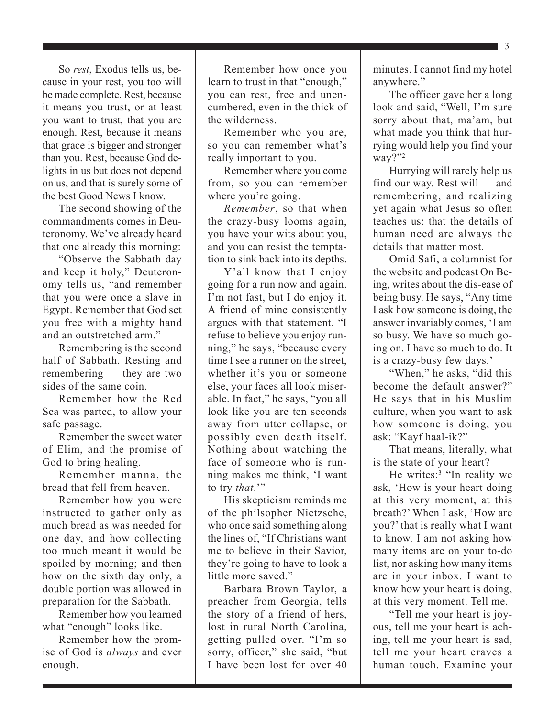So *rest*, Exodus tells us, because in your rest, you too will be made complete. Rest, because it means you trust, or at least you want to trust, that you are enough. Rest, because it means that grace is bigger and stronger than you. Rest, because God delights in us but does not depend on us, and that is surely some of the best Good News I know.

The second showing of the commandments comes in Deuteronomy. We've already heard that one already this morning:

"Observe the Sabbath day and keep it holy," Deuteronomy tells us, "and remember that you were once a slave in Egypt. Remember that God set you free with a mighty hand and an outstretched arm."

Remembering is the second half of Sabbath. Resting and remembering — they are two sides of the same coin.

Remember how the Red Sea was parted, to allow your safe passage.

Remember the sweet water of Elim, and the promise of God to bring healing.

Remember manna, the bread that fell from heaven.

Remember how you were instructed to gather only as much bread as was needed for one day, and how collecting too much meant it would be spoiled by morning; and then how on the sixth day only, a double portion was allowed in preparation for the Sabbath.

Remember how you learned what "enough" looks like.

Remember how the promise of God is *always* and ever enough.

Remember how once you learn to trust in that "enough," you can rest, free and unencumbered, even in the thick of the wilderness.

Remember who you are, so you can remember what's really important to you.

Remember where you come from, so you can remember where you're going.

*Remember*, so that when the crazy-busy looms again, you have your wits about you, and you can resist the temptation to sink back into its depths.

Y'all know that I enjoy going for a run now and again. I'm not fast, but I do enjoy it. A friend of mine consistently argues with that statement. "I refuse to believe you enjoy running," he says, "because every time I see a runner on the street, whether it's you or someone else, your faces all look miserable. In fact," he says, "you all look like you are ten seconds away from utter collapse, or possibly even death itself. Nothing about watching the face of someone who is running makes me think, 'I want to try *that*.'"

His skepticism reminds me of the philsopher Nietzsche, who once said something along the lines of, "If Christians want me to believe in their Savior, they're going to have to look a little more saved."

Barbara Brown Taylor, a preacher from Georgia, tells the story of a friend of hers, lost in rural North Carolina, getting pulled over. "I'm so sorry, officer," she said, "but I have been lost for over 40 minutes. I cannot find my hotel anywhere."

The officer gave her a long look and said, "Well, I'm sure sorry about that, ma'am, but what made you think that hurrying would help you find your way?"2

Hurrying will rarely help us find our way. Rest will — and remembering, and realizing yet again what Jesus so often teaches us: that the details of human need are always the details that matter most.

Omid Safi, a columnist for the website and podcast On Being, writes about the dis-ease of being busy. He says, "Any time I ask how someone is doing, the answer invariably comes, 'I am so busy. We have so much going on. I have so much to do. It is a crazy-busy few days.'

"When," he asks, "did this become the default answer?" He says that in his Muslim culture, when you want to ask how someone is doing, you ask: "Kayf haal-ik?"

That means, literally, what is the state of your heart?

He writes:<sup>3</sup> "In reality we ask, 'How is your heart doing at this very moment, at this breath?' When I ask, 'How are you?' that is really what I want to know. I am not asking how many items are on your to-do list, nor asking how many items are in your inbox. I want to know how your heart is doing, at this very moment. Tell me.

"Tell me your heart is joyous, tell me your heart is aching, tell me your heart is sad, tell me your heart craves a human touch. Examine your